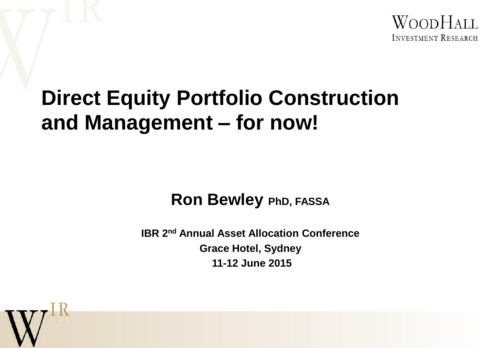

#### **Direct Equity Portfolio Construction and Management – for now!**

#### **Ron Bewley PhD, FASSA**

**IBR 2nd Annual Asset Allocation Conference Grace Hotel, Sydney 11-12 June 2015**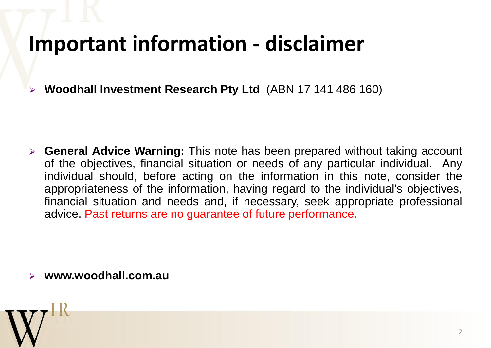### **Important information - disclaimer**

**Woodhall Investment Research Pty Ltd** (ABN 17 141 486 160)

 **General Advice Warning:** This note has been prepared without taking account of the objectives, financial situation or needs of any particular individual. Any individual should, before acting on the information in this note, consider the appropriateness of the information, having regard to the individual's objectives, financial situation and needs and, if necessary, seek appropriate professional advice. Past returns are no guarantee of future performance.

**www.woodhall.com.au**

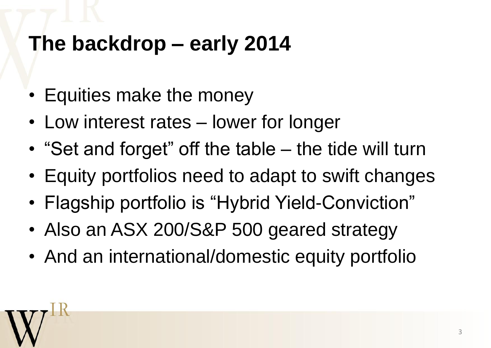# **The backdrop – early 2014**

- Equities make the money
- Low interest rates lower for longer
- "Set and forget" off the table the tide will turn
- Equity portfolios need to adapt to swift changes
- Flagship portfolio is "Hybrid Yield-Conviction"
- Also an ASX 200/S&P 500 geared strategy
- And an international/domestic equity portfolio

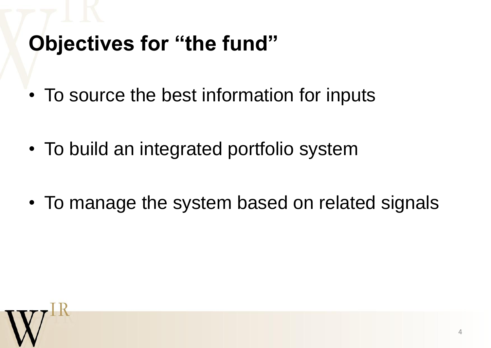# **Objectives for "the fund"**

- To source the best information for inputs
- To build an integrated portfolio system
- To manage the system based on related signals

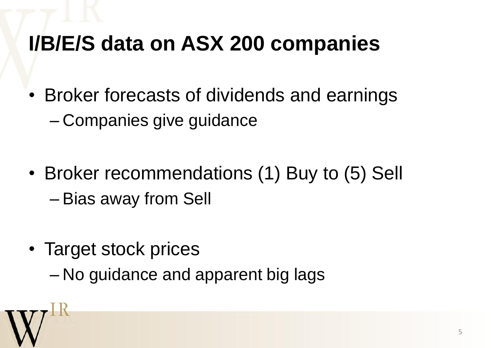## **I/B/E/S data on ASX 200 companies**

- Broker forecasts of dividends and earnings – Companies give guidance
- Broker recommendations (1) Buy to (5) Sell – Bias away from Sell
- Target stock prices
	- No guidance and apparent big lags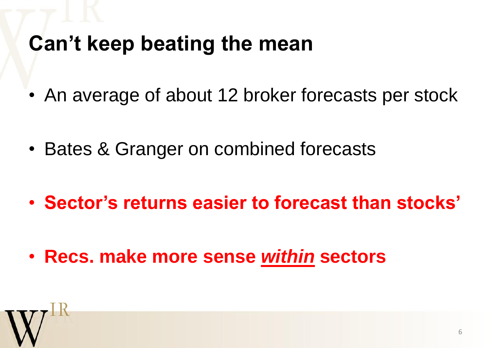### **Can't keep beating the mean**

- An average of about 12 broker forecasts per stock
- Bates & Granger on combined forecasts
- **Sector's returns easier to forecast than stocks'**
- **Recs. make more sense** *within* **sectors**

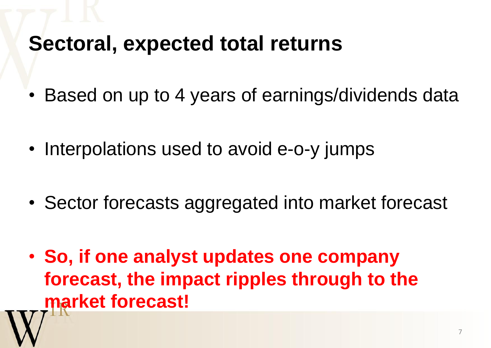#### **Sectoral, expected total returns**

- Based on up to 4 years of earnings/dividends data
- Interpolations used to avoid e-o-y jumps
- Sector forecasts aggregated into market forecast
- **So, if one analyst updates one company forecast, the impact ripples through to the market forecast!**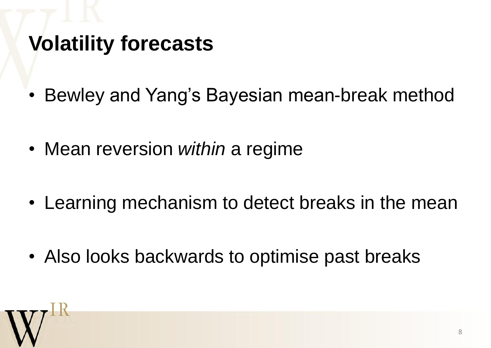# **Volatility forecasts**

- Bewley and Yang's Bayesian mean-break method
- Mean reversion *within* a regime
- Learning mechanism to detect breaks in the mean
- Also looks backwards to optimise past breaks

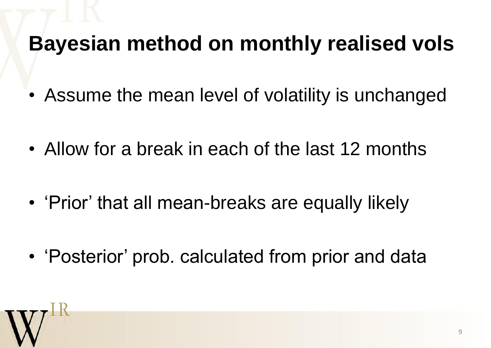# **Bayesian method on monthly realised vols**

- Assume the mean level of volatility is unchanged
- Allow for a break in each of the last 12 months
- 'Prior' that all mean-breaks are equally likely
- 'Posterior' prob. calculated from prior and data

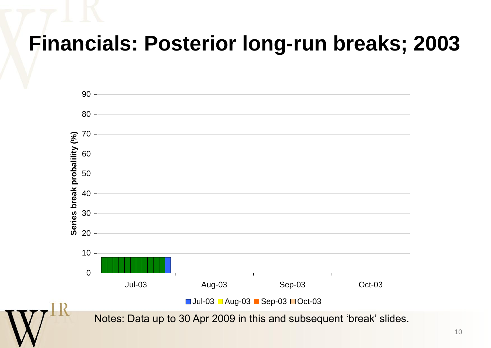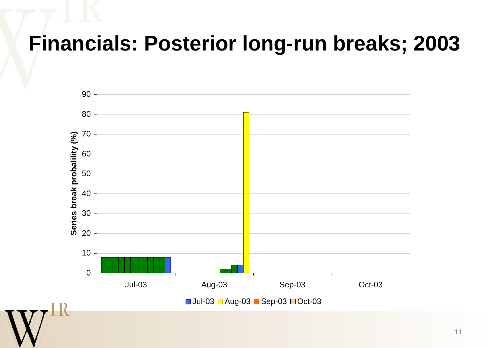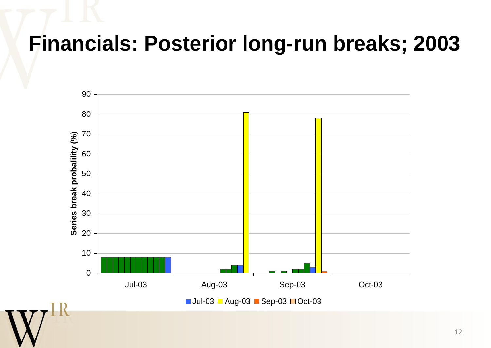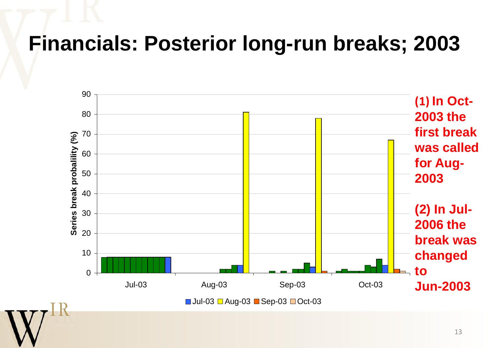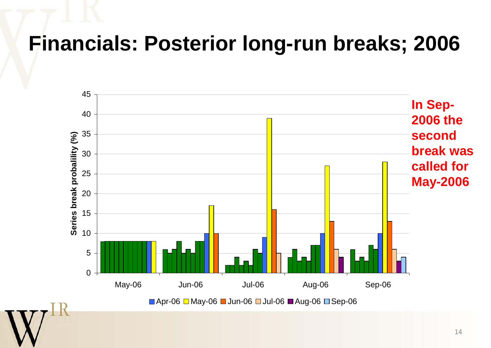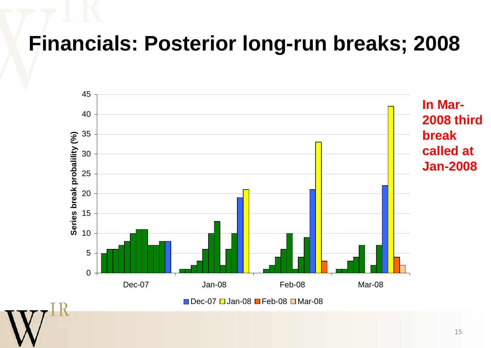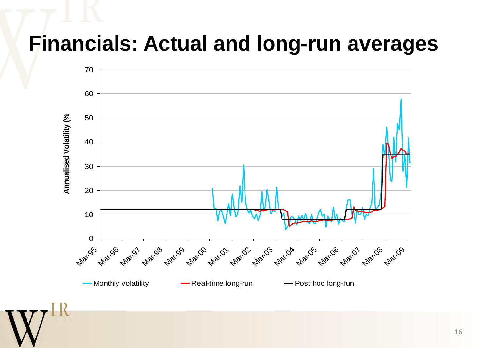#### **Financials: Actual and long-run averages**



16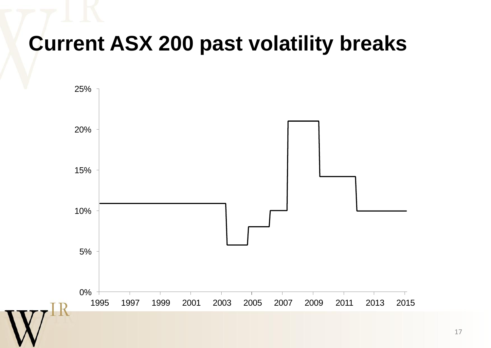### **Current ASX 200 past volatility breaks**

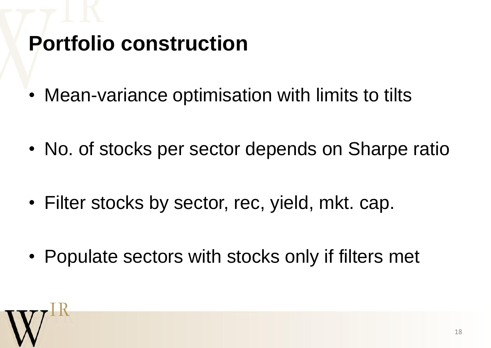# **Portfolio construction**

- Mean-variance optimisation with limits to tilts
- No. of stocks per sector depends on Sharpe ratio
- Filter stocks by sector, rec, yield, mkt. cap.
- Populate sectors with stocks only if filters met

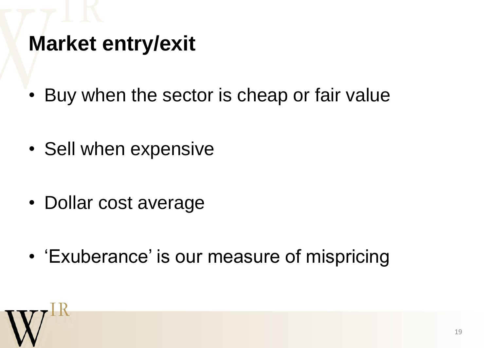### **Market entry/exit**

- Buy when the sector is cheap or fair value
- Sell when expensive
- Dollar cost average
- 'Exuberance' is our measure of mispricing

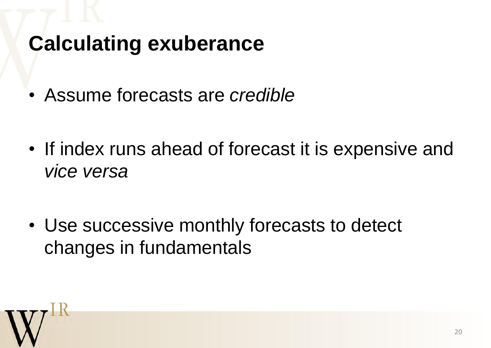# **Calculating exuberance**

- Assume forecasts are *credible*
- If index runs ahead of forecast it is expensive and *vice versa*
- Use successive monthly forecasts to detect changes in fundamentals

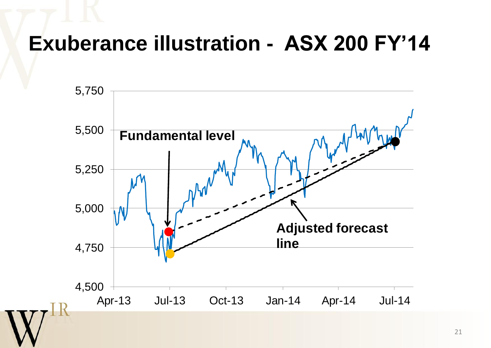#### **Exuberance illustration - ASX 200 FY'14**

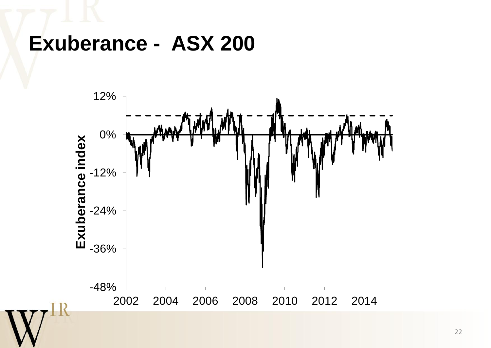#### **Exuberance - ASX 200**

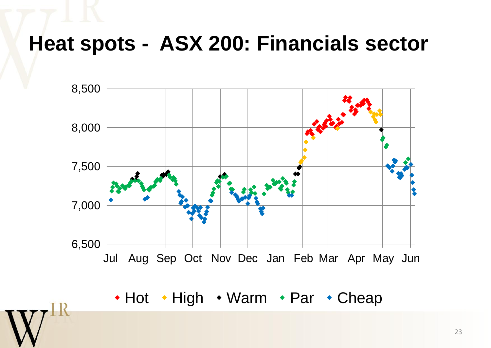#### **Heat spots - ASX 200: Financials sector**



• Hot • High • Warm • Par • Cheap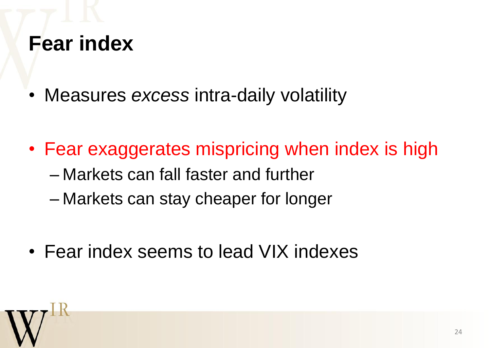#### **Fear index**

- Measures *excess* intra-daily volatility
- Fear exaggerates mispricing when index is high – Markets can fall faster and further
	- Markets can stay cheaper for longer
- Fear index seems to lead VIX indexes

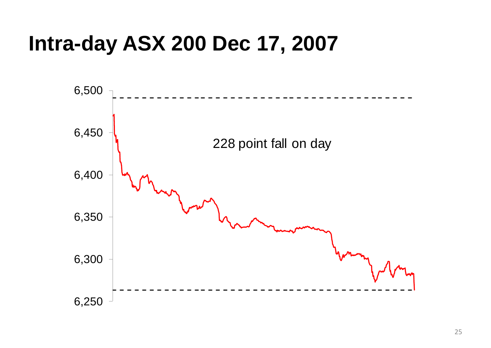#### **Intra-day ASX 200 Dec 17, 2007**

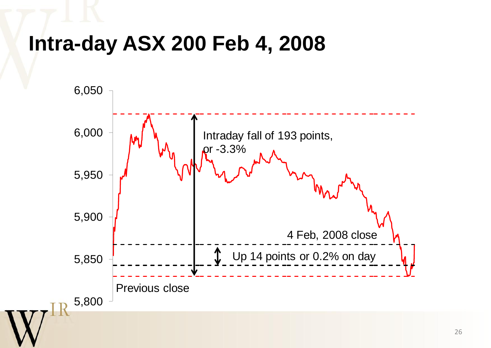#### **Intra-day ASX 200 Feb 4, 2008**

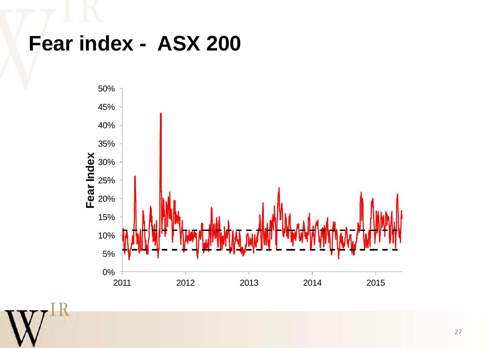#### **Fear index - ASX 200**

 $\, {\bf R}$ 

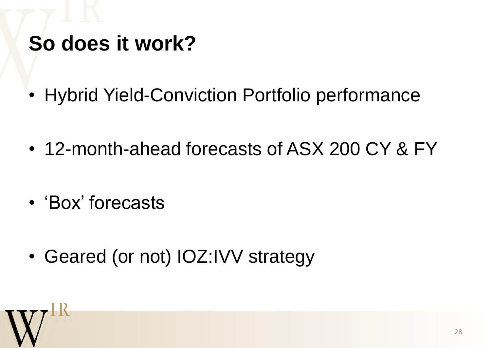# **So does it work?**

- Hybrid Yield-Conviction Portfolio performance
- 12-month-ahead forecasts of ASX 200 CY & FY
- 'Box' forecasts
- Geared (or not) IOZ:IVV strategy

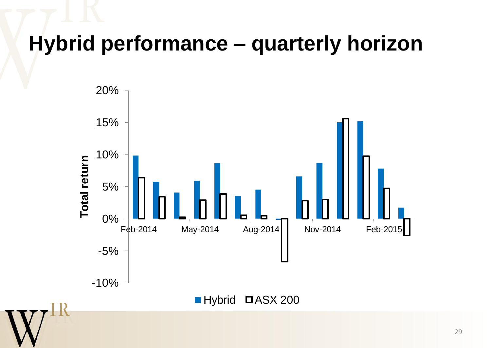#### **Hybrid performance – quarterly horizon**

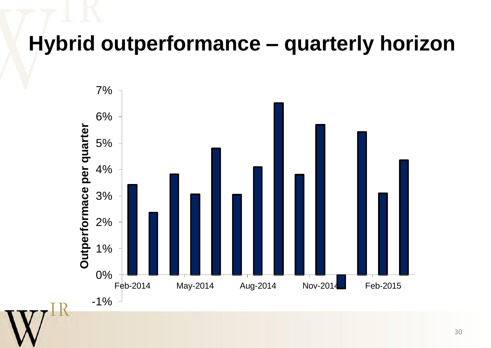#### **Hybrid outperformance – quarterly horizon**

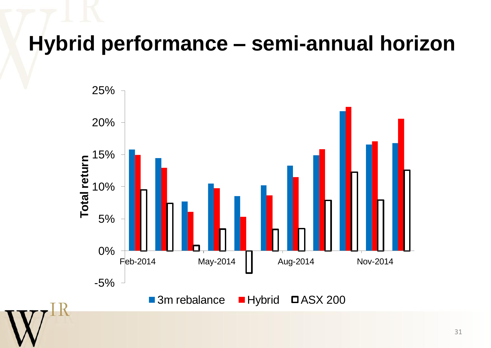#### **Hybrid performance – semi-annual horizon**

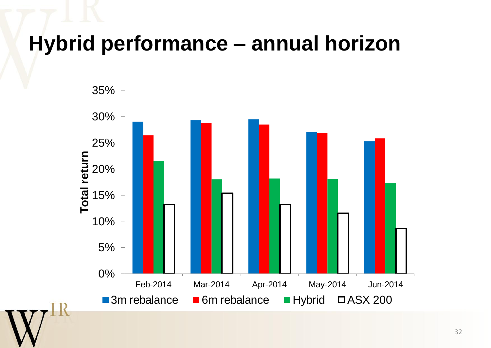#### **Hybrid performance – annual horizon**

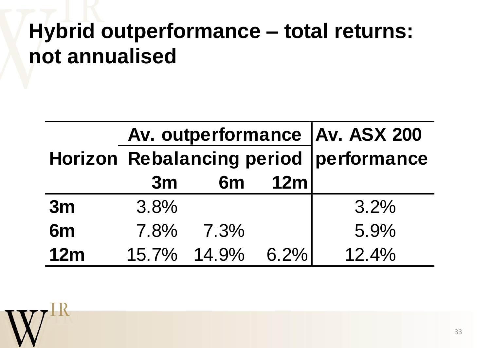### **Hybrid outperformance – total returns: not annualised**

|                | Av. outperformance   Av. ASX 200<br>Horizon Rebalancing period   performance |             |         |       |
|----------------|------------------------------------------------------------------------------|-------------|---------|-------|
|                |                                                                              |             |         |       |
|                | 3m                                                                           | 6m          | 12m     |       |
| 3m             | 3.8%                                                                         |             |         | 3.2%  |
| 6 <sub>m</sub> | 7.8%                                                                         | 7.3%        |         | 5.9%  |
| 12m            |                                                                              | 15.7% 14.9% | $6.2\%$ | 12.4% |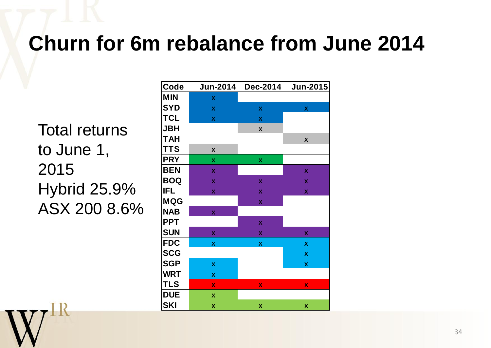### **Churn for 6m rebalance from June 2014**

Total returns to June 1, 2015 Hybrid 25.9% ASX 200 8.6%

| Code       | <b>Jun-2014</b>           | <b>Dec-2014</b>           | <b>Jun-2015</b>           |
|------------|---------------------------|---------------------------|---------------------------|
| <b>MIN</b> | $\boldsymbol{\mathsf{X}}$ |                           |                           |
| <b>SYD</b> | $\pmb{\chi}$              | $\boldsymbol{\mathsf{X}}$ | X                         |
| <b>TCL</b> | $\pmb{\mathsf{X}}$        | $\pmb{\mathsf{X}}$        |                           |
| <b>JBH</b> |                           | $\boldsymbol{\mathsf{X}}$ |                           |
| <b>TAH</b> |                           |                           | $\boldsymbol{\mathsf{X}}$ |
| <b>TTS</b> | X                         |                           |                           |
| <b>PRY</b> | $\pmb{\mathsf{X}}$        | X                         |                           |
| <b>BEN</b> | $\boldsymbol{\mathsf{X}}$ |                           | X                         |
| <b>BOQ</b> | X                         | $\boldsymbol{\mathsf{X}}$ | $\boldsymbol{\mathsf{X}}$ |
| IFL        | X                         | $\boldsymbol{\mathsf{X}}$ | X                         |
| <b>MQG</b> |                           | X                         |                           |
| <b>NAB</b> | $\boldsymbol{\mathsf{X}}$ |                           |                           |
| <b>PPT</b> |                           | $\boldsymbol{\mathsf{X}}$ |                           |
| <b>SUN</b> | X                         | X                         | X                         |
| <b>FDC</b> | X                         | X                         | X                         |
| <b>SCG</b> |                           |                           | X                         |
| <b>SGP</b> | X                         |                           | X                         |
| <b>WRT</b> | X                         |                           |                           |
| <b>TLS</b> | X                         | X                         | X                         |
| <b>DUE</b> | X                         |                           |                           |
| <b>SKI</b> | X                         | X                         | X                         |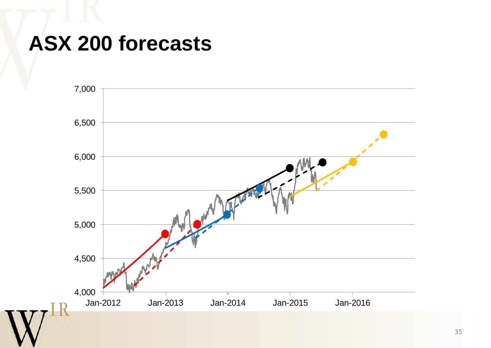#### **ASX 200 forecasts**

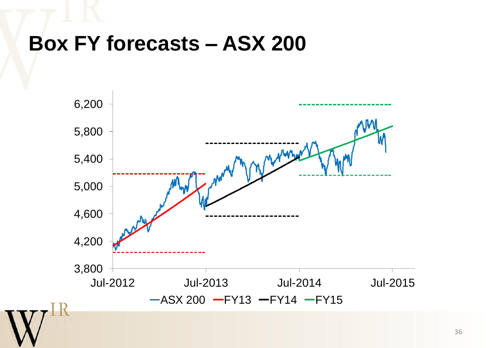#### **Box FY forecasts – ASX 200**

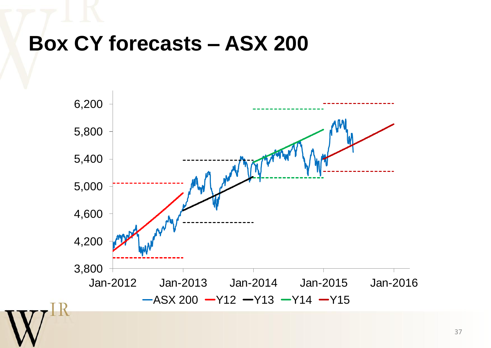#### **Box CY forecasts – ASX 200**

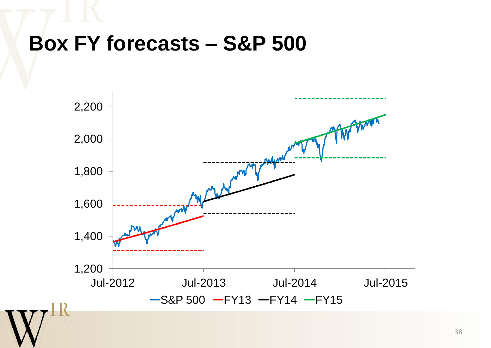#### **Box FY forecasts – S&P 500**

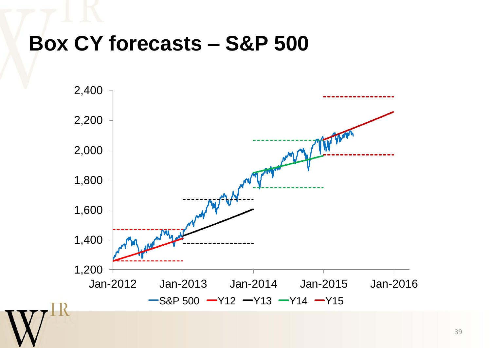#### **Box CY forecasts – S&P 500**

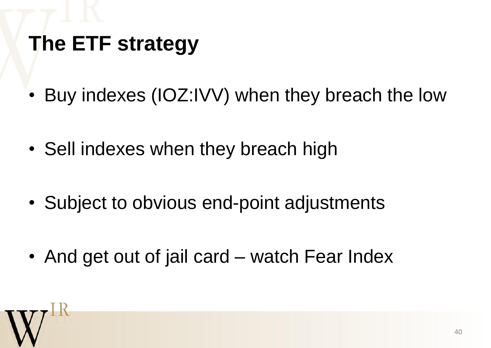# **The ETF strategy**

- Buy indexes (IOZ:IVV) when they breach the low
- Sell indexes when they breach high
- Subject to obvious end-point adjustments
- And get out of jail card watch Fear Index

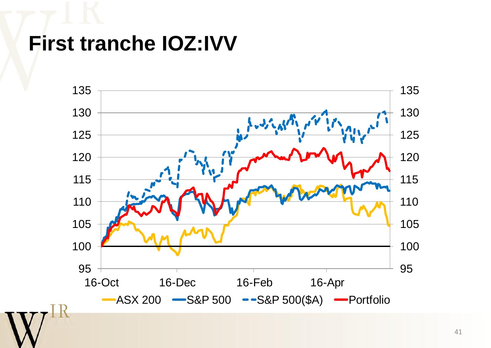### **First tranche IOZ:IVV**

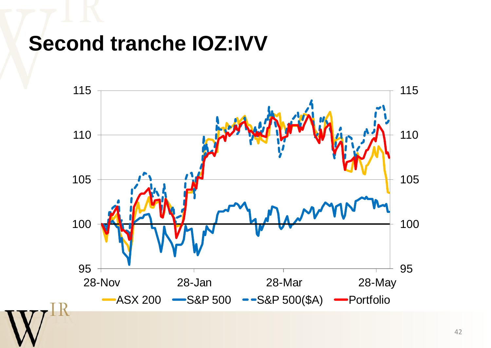#### **Second tranche IOZ:IVV**